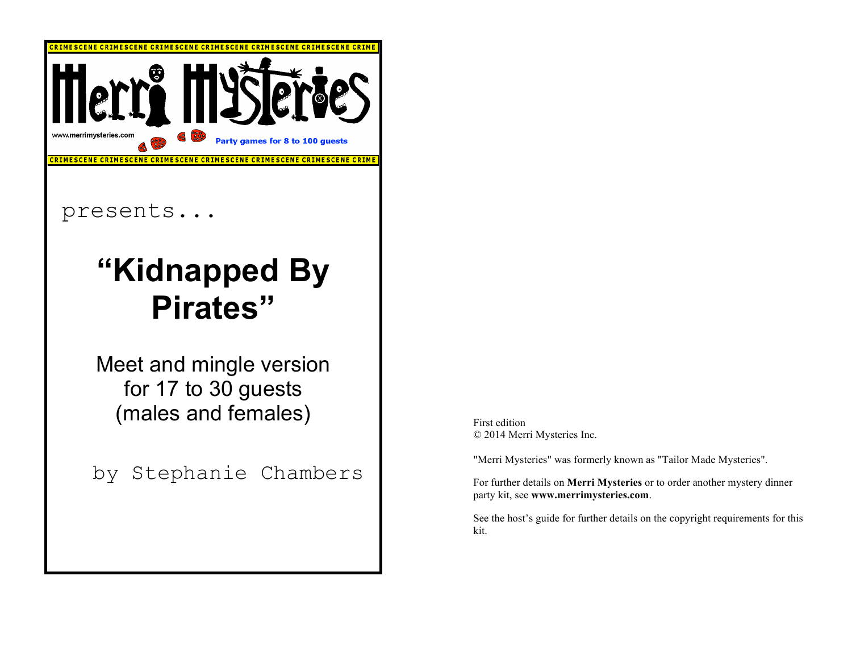

## presents...

# **"Kidnapped By Pirates"**

Meet and mingle version for 17 to 30 guests (males and females)

by Stephanie Chambers

First edition © 2014 Merri Mysteries Inc.

"Merri Mysteries" was formerly known as "Tailor Made Mysteries".

For further details on **Merri Mysteries** or to order another mystery dinner party kit, see **www.merrimysteries.com**.

See the host's guide for further details on the copyright requirements for this kit.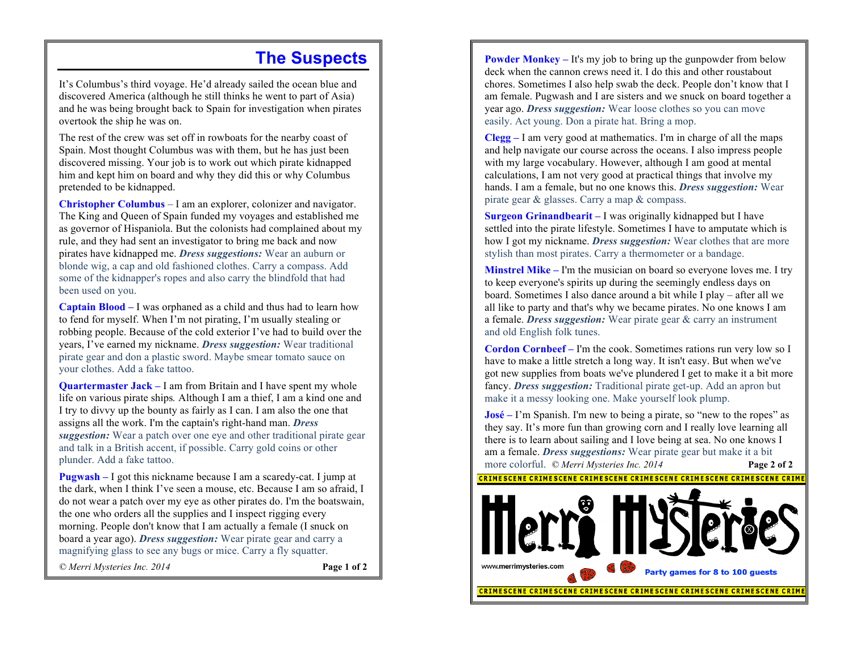### **The Suspects**

It's Columbus's third voyage. He'd already sailed the ocean blue and discovered America (although he still thinks he went to part of Asia) and he was being brought back to Spain for investigation when pirates overtook the ship he was on.

The rest of the crew was set off in rowboats for the nearby coast of Spain. Most thought Columbus was with them, but he has just been discovered missing. Your job is to work out which pirate kidnapped him and kept him on board and why they did this or why Columbus pretended to be kidnapped.

**Christopher Columbus** *–* I am an explorer, colonizer and navigator. The King and Queen of Spain funded my voyages and established me as governor of Hispaniola. But the colonists had complained about my rule, and they had sent an investigator to bring me back and now pirates have kidnapped me. *Dress suggestions:* Wear an auburn or blonde wig, a cap and old fashioned clothes. Carry a compass. Add some of the kidnapper's ropes and also carry the blindfold that had been used on you.

**Captain Blood –** I was orphaned as a child and thus had to learn how to fend for myself. When I'm not pirating, I'm usually stealing or robbing people. Because of the cold exterior I've had to build over the years, I've earned my nickname. *Dress suggestion:* Wear traditional pirate gear and don a plastic sword. Maybe smear tomato sauce on your clothes. Add a fake tattoo.

**Quartermaster Jack** – I am from Britain and I have spent my whole life on various pirate ships*.* Although I am a thief, I am a kind one and I try to divvy up the bounty as fairly as I can. I am also the one that assigns all the work. I'm the captain's right-hand man. *Dress suggestion:* Wear a patch over one eye and other traditional pirate gear and talk in a British accent, if possible. Carry gold coins or other plunder. Add a fake tattoo.

**Pugwash –** I got this nickname because I am a scaredy-cat. I jump at the dark, when I think I've seen a mouse, etc. Because I am so afraid, I do not wear a patch over my eye as other pirates do. I'm the boatswain, the one who orders all the supplies and I inspect rigging every morning. People don't know that I am actually a female (I snuck on board a year ago). *Dress suggestion:* Wear pirate gear and carry a magnifying glass to see any bugs or mice. Carry a fly squatter.

*© Merri Mysteries Inc. 2014* **Page 1 of 2**

**Powder Monkey** – It's my job to bring up the gunpowder from below deck when the cannon crews need it. I do this and other roustabout chores. Sometimes I also help swab the deck. People don't know that I am female. Pugwash and I are sisters and we snuck on board together a year ago. *Dress suggestion:* Wear loose clothes so you can move easily. Act young. Don a pirate hat. Bring a mop.

**Clegg –** I am very good at mathematics. I'm in charge of all the maps and help navigate our course across the oceans. I also impress people with my large vocabulary. However, although I am good at mental calculations, I am not very good at practical things that involve my hands. I am a female, but no one knows this. *Dress suggestion:* Wear pirate gear & glasses. Carry a map & compass.

**Surgeon Grinandbearit –** I was originally kidnapped but I have settled into the pirate lifestyle. Sometimes I have to amputate which is how I got my nickname. *Dress suggestion:* Wear clothes that are more stylish than most pirates. Carry a thermometer or a bandage.

**Minstrel Mike –** I'm the musician on board so everyone loves me. I try to keep everyone's spirits up during the seemingly endless days on board. Sometimes I also dance around a bit while I play – after all we all like to party and that's why we became pirates. No one knows I am a female. *Dress suggestion:* Wear pirate gear & carry an instrument and old English folk tunes.

**Cordon Cornbeef –** I'm the cook. Sometimes rations run very low so I have to make a little stretch a long way. It isn't easy. But when we've got new supplies from boats we've plundered I get to make it a bit more fancy. *Dress suggestion:* Traditional pirate get-up. Add an apron but make it a messy looking one. Make yourself look plump.

**José –** I'm Spanish. I'm new to being a pirate, so "new to the ropes" as they say. It's more fun than growing corn and I really love learning all there is to learn about sailing and I love being at sea. No one knows I am a female. *Dress suggestions:* Wear pirate gear but make it a bit more colorful.*© Merri Mysteries Inc. 2014* **Page 2 of 2** 

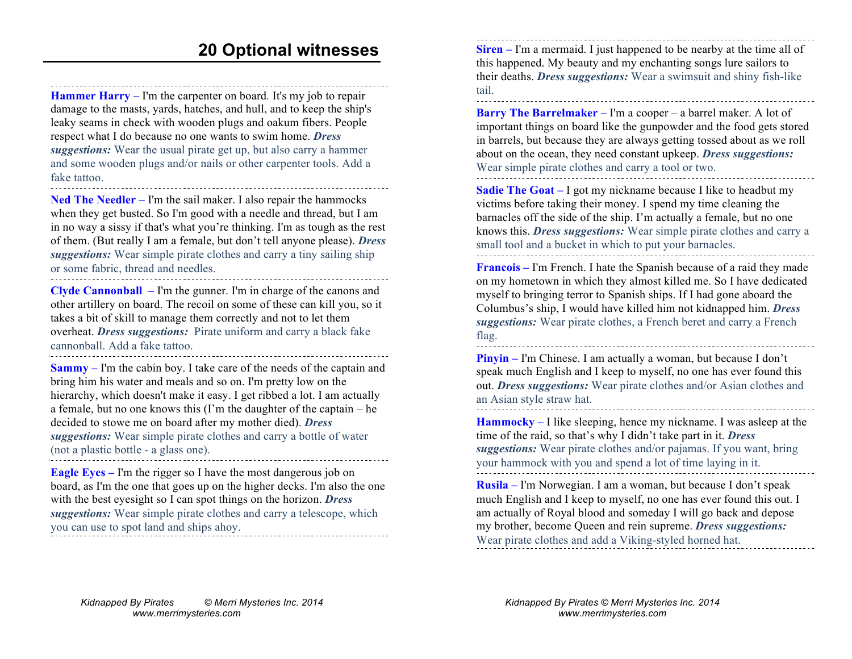**Hammer Harry –** I'm the carpenter on board*.* It's my job to repair damage to the masts, yards, hatches, and hull, and to keep the ship's leaky seams in check with wooden plugs and oakum fibers. People respect what I do because no one wants to swim home. *Dress suggestions:* Wear the usual pirate get up, but also carry a hammer and some wooden plugs and/or nails or other carpenter tools. Add a fake tattoo.

**Ned The Needler –** I'm the sail maker. I also repair the hammocks when they get busted. So I'm good with a needle and thread, but I am in no way a sissy if that's what you're thinking. I'm as tough as the rest of them. (But really I am a female, but don't tell anyone please). *Dress suggestions:* Wear simple pirate clothes and carry a tiny sailing ship or some fabric, thread and needles.

**Clyde Cannonball –** I'm the gunner. I'm in charge of the canons and other artillery on board. The recoil on some of these can kill you, so it takes a bit of skill to manage them correctly and not to let them overheat. *Dress suggestions:* Pirate uniform and carry a black fake cannonball. Add a fake tattoo. 

**Sammy –** I'm the cabin boy. I take care of the needs of the captain and bring him his water and meals and so on. I'm pretty low on the hierarchy, which doesn't make it easy. I get ribbed a lot. I am actually a female, but no one knows this (I'm the daughter of the captain – he decided to stowe me on board after my mother died). *Dress suggestions:* Wear simple pirate clothes and carry a bottle of water (not a plastic bottle - a glass one). 

**Eagle Eyes –** I'm the rigger so I have the most dangerous job on board, as I'm the one that goes up on the higher decks. I'm also the one with the best eyesight so I can spot things on the horizon. *Dress suggestions:* Wear simple pirate clothes and carry a telescope, which you can use to spot land and ships ahoy.

**Siren –** I'm a mermaid. I just happened to be nearby at the time all of this happened. My beauty and my enchanting songs lure sailors to their deaths. *Dress suggestions:* Wear a swimsuit and shiny fish-like tail.

**Barry The Barrelmaker –** I'm a cooper – a barrel maker. A lot of important things on board like the gunpowder and the food gets stored in barrels, but because they are always getting tossed about as we roll about on the ocean, they need constant upkeep. *Dress suggestions:*  Wear simple pirate clothes and carry a tool or two.

**Sadie The Goat –** I got my nickname because I like to headbut my victims before taking their money. I spend my time cleaning the barnacles off the side of the ship. I'm actually a female, but no one knows this. *Dress suggestions:* Wear simple pirate clothes and carry a small tool and a bucket in which to put your barnacles.

**Francois –** I'm French. I hate the Spanish because of a raid they made on my hometown in which they almost killed me. So I have dedicated myself to bringing terror to Spanish ships. If I had gone aboard the Columbus's ship, I would have killed him not kidnapped him. *Dress suggestions:* Wear pirate clothes, a French beret and carry a French flag.

**Pinyin –** I'm Chinese. I am actually a woman, but because I don't speak much English and I keep to myself, no one has ever found this out. *Dress suggestions:* Wear pirate clothes and/or Asian clothes and an Asian style straw hat.

**Hammocky –** I like sleeping, hence my nickname. I was asleep at the time of the raid, so that's why I didn't take part in it. *Dress suggestions:* Wear pirate clothes and/or pajamas. If you want, bring your hammock with you and spend a lot of time laying in it.

**Rusila –** I'm Norwegian. I am a woman, but because I don't speak much English and I keep to myself, no one has ever found this out. I am actually of Royal blood and someday I will go back and depose my brother, become Queen and rein supreme. *Dress suggestions:*  Wear pirate clothes and add a Viking-styled horned hat.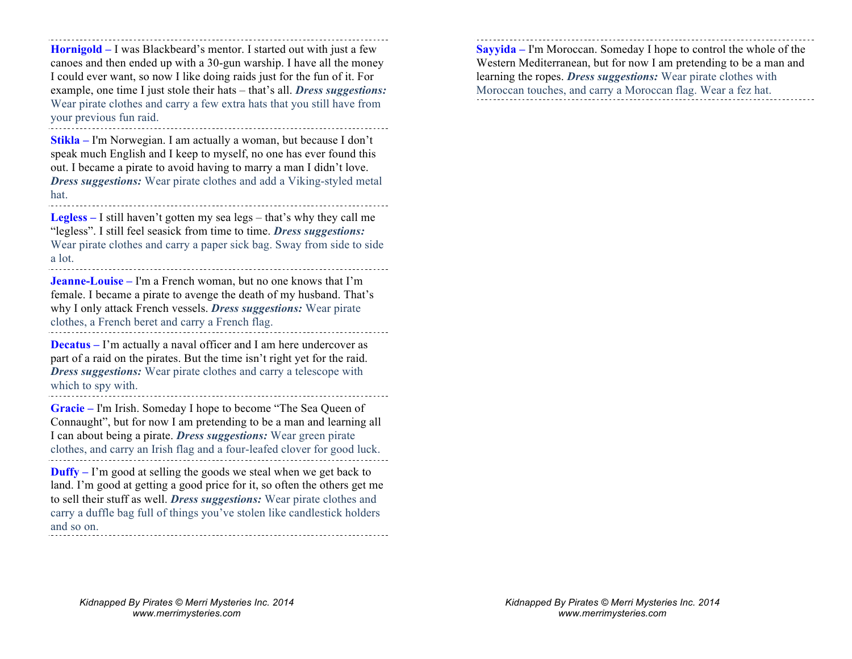**Hornigold –** I was Blackbeard's mentor. I started out with just a few canoes and then ended up with a 30-gun warship. I have all the money I could ever want, so now I like doing raids just for the fun of it. For example, one time I just stole their hats – that's all. *Dress suggestions:*  Wear pirate clothes and carry a few extra hats that you still have from your previous fun raid.

**Stikla –** I'm Norwegian. I am actually a woman, but because I don't speak much English and I keep to myself, no one has ever found this out. I became a pirate to avoid having to marry a man I didn't love. *Dress suggestions:* Wear pirate clothes and add a Viking-styled metal hat.

**Legless –** I still haven't gotten my sea legs – that's why they call me "legless". I still feel seasick from time to time. *Dress suggestions:*  Wear pirate clothes and carry a paper sick bag. Sway from side to side a lot.

**Jeanne-Louise –** I'm a French woman, but no one knows that I'm female. I became a pirate to avenge the death of my husband. That's why I only attack French vessels. *Dress suggestions:* Wear pirate clothes, a French beret and carry a French flag.

**Decatus –** I'm actually a naval officer and I am here undercover as part of a raid on the pirates. But the time isn't right yet for the raid. *Dress suggestions:* Wear pirate clothes and carry a telescope with which to spy with. 

**Gracie –** I'm Irish. Someday I hope to become "The Sea Queen of Connaught", but for now I am pretending to be a man and learning all I can about being a pirate. *Dress suggestions:* Wear green pirate clothes, and carry an Irish flag and a four-leafed clover for good luck.

**Duffy** – I'm good at selling the goods we steal when we get back to land. I'm good at getting a good price for it, so often the others get me to sell their stuff as well. *Dress suggestions:* Wear pirate clothes and carry a duffle bag full of things you've stolen like candlestick holders and so on. 

**Sayyida –** I'm Moroccan. Someday I hope to control the whole of the Western Mediterranean, but for now I am pretending to be a man and learning the ropes. *Dress suggestions:* Wear pirate clothes with Moroccan touches, and carry a Moroccan flag. Wear a fez hat.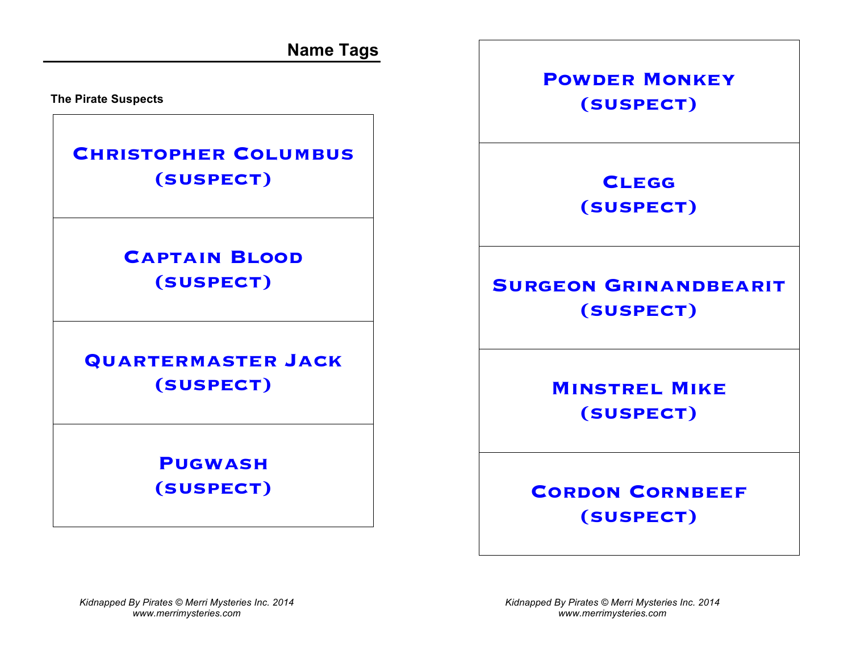**Name Tags**

**The Pirate Suspects**

## **Christopher Columbus (suspect)**

# **Captain Blood (suspect)**

## **Quartermaster Jack (suspect)**

## **Pugwash (suspect)**

**Powder Monkey (suspect)**

> **Clegg (suspect)**

# **SURGEON GRINANDBEARIT (suspect)**

**Minstrel Mike (suspect)**

**CORDON CORNBEEF (suspect)**

*Kidnapped By Pirates © Merri Mysteries Inc. 2014 www.merrimysteries.com*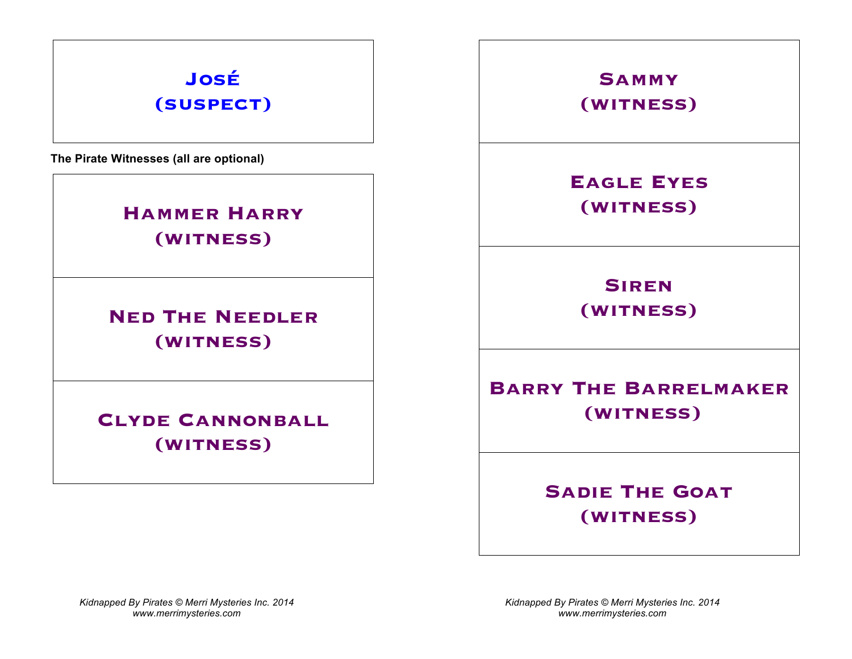# **José (suspect)**

**The Pirate Witnesses (all are optional)**

## **Hammer Harry (witness)**

**Ned The Needler (witness)**

**CLYDE CANNONBALL (witness)**

**Sammy (witness)**

**Eagle Eyes (witness)**

**Siren (witness)**

**Barry The Barrelmaker (witness)**

> **Sadie The Goat (witness)**

*Kidnapped By Pirates © Merri Mysteries Inc. 2014 www.merrimysteries.com*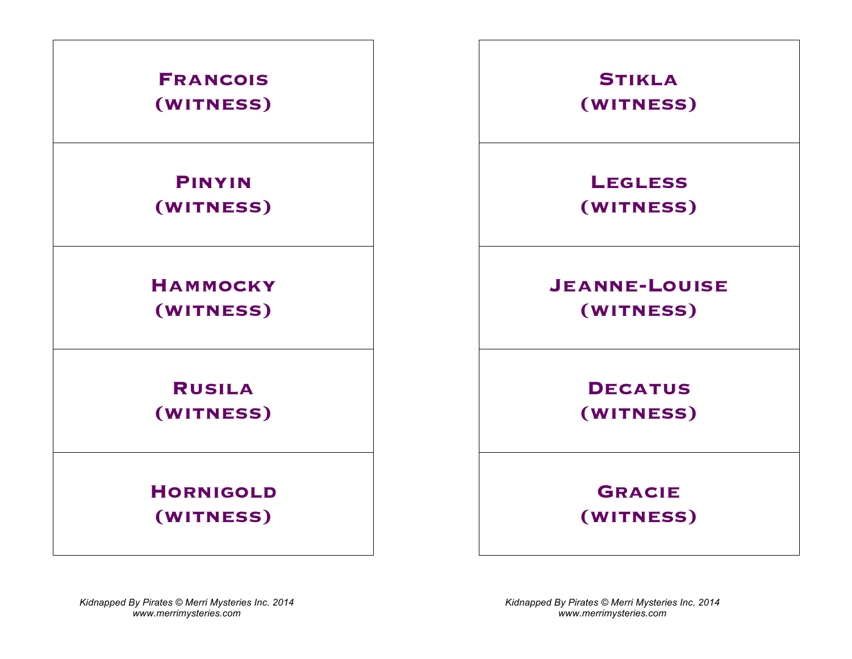

*Kidnapped By Pirates © Merri Mysteries Inc. 2014 www.merrimysteries.com*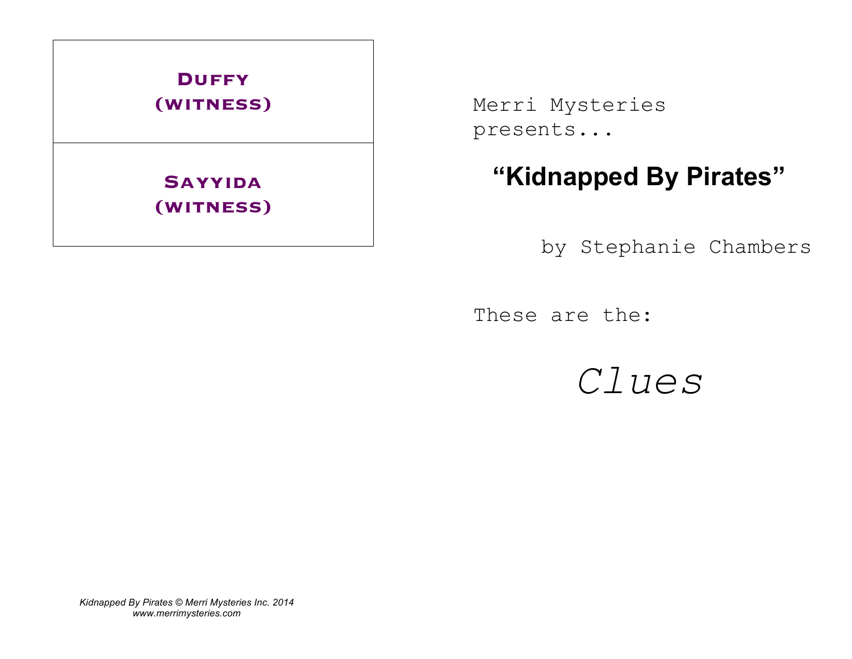

Merri Mysteries presents...

# **"Kidnapped By Pirates"**

by Stephanie Chambers

These are the:

*Clues*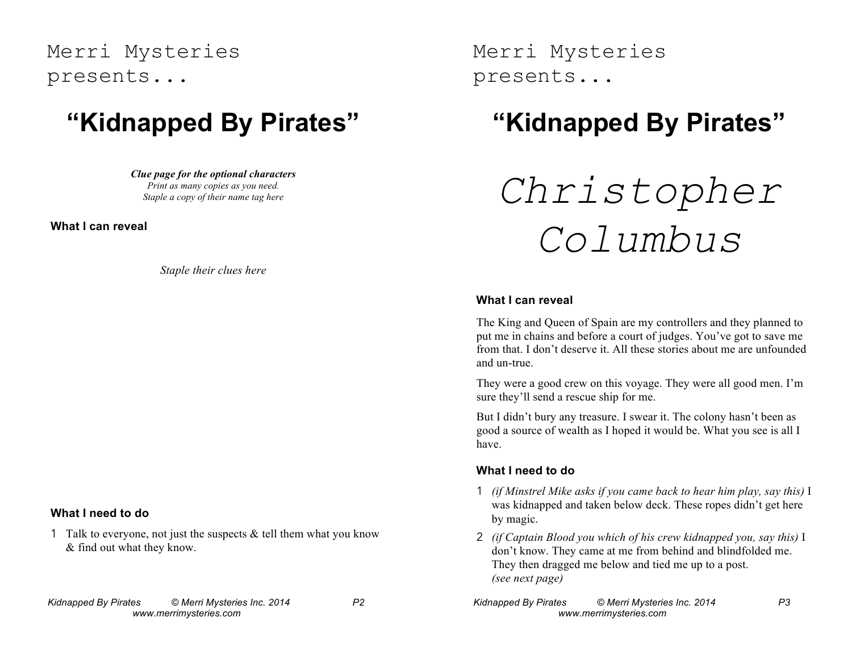## Merri Mysteries presents...

# **"Kidnapped By Pirates"**

*Clue page for the optional characters Print as many copies as you need. Staple a copy of their name tag here*

**What I can reveal**

*Staple their clues here*

### **What I need to do**

1 Talk to everyone, not just the suspects  $&$  tell them what you know & find out what they know.

Merri Mysteries presents...

# **"Kidnapped By Pirates"**

# *Christopher Columbus*

#### **What I can reveal**

The King and Queen of Spain are my controllers and they planned to put me in chains and before a court of judges. You've got to save me from that. I don't deserve it. All these stories about me are unfounded and un-true.

They were a good crew on this voyage. They were all good men. I'm sure they'll send a rescue ship for me.

But I didn't bury any treasure. I swear it. The colony hasn't been as good a source of wealth as I hoped it would be. What you see is all I have.

### **What I need to do**

- 1 *(if Minstrel Mike asks if you came back to hear him play, say this)* I was kidnapped and taken below deck. These ropes didn't get here by magic.
- 2 *(if Captain Blood you which of his crew kidnapped you, say this)* I don't know. They came at me from behind and blindfolded me. They then dragged me below and tied me up to a post. *(see next page)*
- *Kidnapped By Pirates © Merri Mysteries Inc. 2014 P3 www.merrimysteries.com*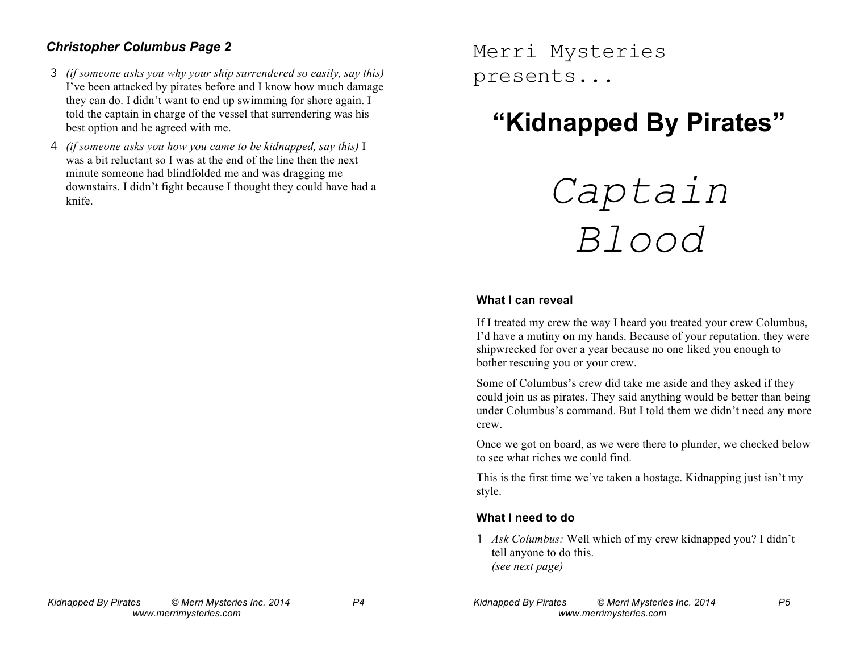### *Christopher Columbus Page 2*

- 3 *(if someone asks you why your ship surrendered so easily, say this)* I've been attacked by pirates before and I know how much damage they can do. I didn't want to end up swimming for shore again. I told the captain in charge of the vessel that surrendering was his best option and he agreed with me.
- 4 *(if someone asks you how you came to be kidnapped, say this)* I was a bit reluctant so I was at the end of the line then the next minute someone had blindfolded me and was dragging me downstairs. I didn't fight because I thought they could have had a knife.

Merri Mysteries presents...

# **"Kidnapped By Pirates"**



#### **What I can reveal**

If I treated my crew the way I heard you treated your crew Columbus, I'd have a mutiny on my hands. Because of your reputation, they were shipwrecked for over a year because no one liked you enough to bother rescuing you or your crew.

Some of Columbus's crew did take me aside and they asked if they could join us as pirates. They said anything would be better than being under Columbus's command. But I told them we didn't need any more crew.

Once we got on board, as we were there to plunder, we checked below to see what riches we could find.

This is the first time we've taken a hostage. Kidnapping just isn't my style.

### **What I need to do**

1 *Ask Columbus:* Well which of my crew kidnapped you? I didn't tell anyone to do this. *(see next page)*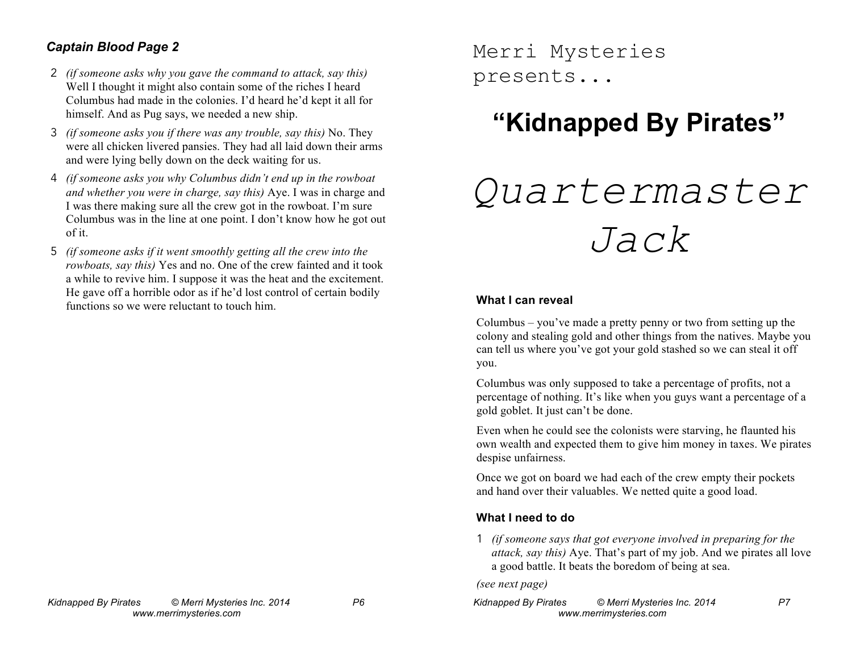### *Captain Blood Page 2*

- 2 *(if someone asks why you gave the command to attack, say this)* Well I thought it might also contain some of the riches I heard Columbus had made in the colonies. I'd heard he'd kept it all for himself. And as Pug says, we needed a new ship.
- 3 *(if someone asks you if there was any trouble, say this)* No. They were all chicken livered pansies. They had all laid down their arms and were lying belly down on the deck waiting for us.
- 4 *(if someone asks you why Columbus didn't end up in the rowboat and whether you were in charge, say this)* Aye. I was in charge and I was there making sure all the crew got in the rowboat. I'm sure Columbus was in the line at one point. I don't know how he got out of it.
- 5 *(if someone asks if it went smoothly getting all the crew into the rowboats, say this)* Yes and no. One of the crew fainted and it took a while to revive him. I suppose it was the heat and the excitement. He gave off a horrible odor as if he'd lost control of certain bodily functions so we were reluctant to touch him.

Merri Mysteries presents...

# **"Kidnapped By Pirates"**

# *Quartermaster Jack*

#### **What I can reveal**

Columbus – you've made a pretty penny or two from setting up the colony and stealing gold and other things from the natives. Maybe you can tell us where you've got your gold stashed so we can steal it off you.

Columbus was only supposed to take a percentage of profits, not a percentage of nothing. It's like when you guys want a percentage of a gold goblet. It just can't be done.

Even when he could see the colonists were starving, he flaunted his own wealth and expected them to give him money in taxes. We pirates despise unfairness.

Once we got on board we had each of the crew empty their pockets and hand over their valuables. We netted quite a good load.

### **What I need to do**

1 *(if someone says that got everyone involved in preparing for the attack, say this)* Aye. That's part of my job. And we pirates all love a good battle. It beats the boredom of being at sea.

*(see next page)*